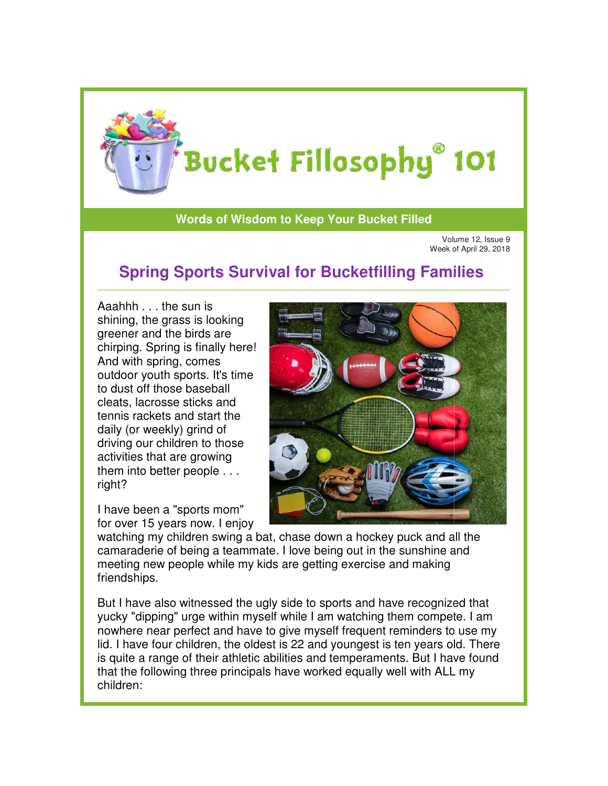

## **Words of Wisdom to Keep Your Bucket Filled**

Volume 12, Issue 9 Volume 12, Issue 9<br>Week of April 29, 2018

## **Spring Sports Survival for Bucketfilling Families**

Aaahhh . . . the sun is shining, the grass is looking greener and the birds are chirping. Spring is finally here! And with spring, comes outdoor youth sports. It's time to dust off those baseball cleats, lacrosse sticks and tennis rackets and start the daily (or weekly) grind of driving our children to those activities that are growing them into better people . . . right?

I have been a "sports mom" for over 15 years now. I enjoy



watching my children swing a bat, chase down a hockey puck and all the watching my children swing a bat, chase down a hockey puck and all th<br>camaraderie of being a teammate. I love being out in the sunshine and meeting new people while my kids are getting exercise and making friendships.

But I have also witnessed the ugly side to sports and have recognized that yucky "dipping" urge within myself while I am watching them compete. I am nowhere near perfect and have to give myself frequent reminders to use my lid. I have four children, the oldest is 22 and youngest is ten years old. There is quite a range of their athletic abilities and temperaments. But I have found that the following three principals have worked equally well with ALL my children: g new people while my kids are getting exercise and making<br>hips.<br>ave also witnessed the ugly side to sports and have recognized that<br>'dipping" urge within myself while I am watching them compete. I am<br>re near perfect and h re four children, the oldest is 22 and youngest is ten years old. There<br>a range of their athletic abilities and temperaments. But I have found<br>following three principals have worked equally well with ALL my myself frequent reminders to use my<br>and youngest is ten years old. There<br>and temperaments. But I have found<br>worked equally well with ALL my